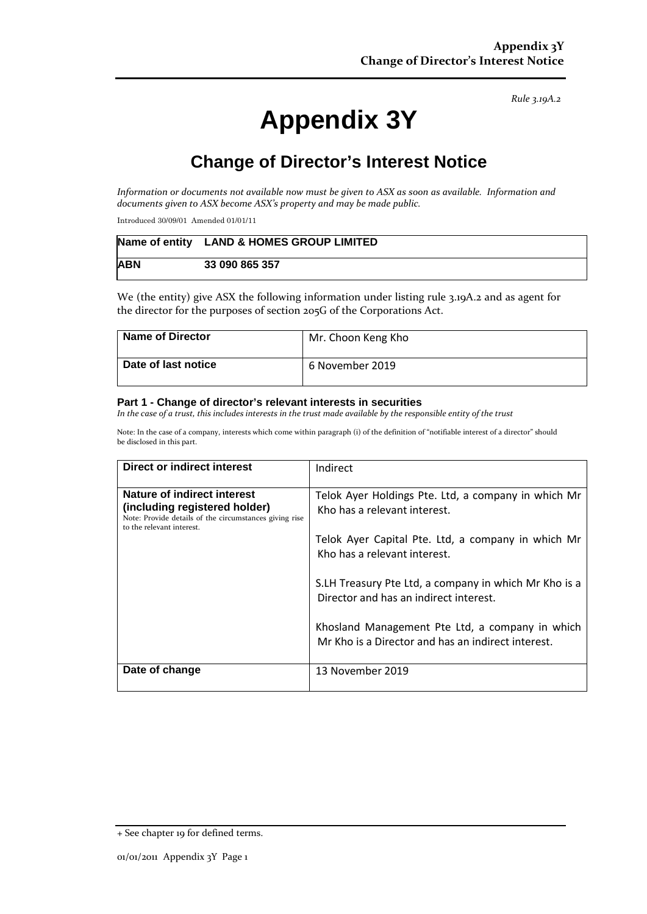*Rule 3.19A.2*

# **Appendix 3Y**

# **Change of Director's Interest Notice**

*Information or documents not available now must be given to ASX as soon as available. Information and documents given to ASX become ASX's property and may be made public.*

Introduced 30/09/01 Amended 01/01/11

|            | Name of entity LAND & HOMES GROUP LIMITED |
|------------|-------------------------------------------|
| <b>ABN</b> | 33 090 865 357                            |

We (the entity) give ASX the following information under listing rule 3.19A.2 and as agent for the director for the purposes of section 205G of the Corporations Act.

| <b>Name of Director</b> | Mr. Choon Keng Kho |
|-------------------------|--------------------|
| Date of last notice     | 6 November 2019    |

#### **Part 1 - Change of director's relevant interests in securities**

*In the case of a trust, this includes interests in the trust made available by the responsible entity of the trust*

Note: In the case of a company, interests which come within paragraph (i) of the definition of "notifiable interest of a director" should be disclosed in this part.

| <b>Direct or indirect interest</b>                                                                                                                  | Indirect                                                                                                                                                                                                                                                                     |
|-----------------------------------------------------------------------------------------------------------------------------------------------------|------------------------------------------------------------------------------------------------------------------------------------------------------------------------------------------------------------------------------------------------------------------------------|
| Nature of indirect interest<br>(including registered holder)<br>Note: Provide details of the circumstances giving rise<br>to the relevant interest. | Telok Ayer Holdings Pte. Ltd, a company in which Mr<br>Kho has a relevant interest.<br>Telok Ayer Capital Pte. Ltd, a company in which Mr<br>Kho has a relevant interest.<br>S.LH Treasury Pte Ltd, a company in which Mr Kho is a<br>Director and has an indirect interest. |
|                                                                                                                                                     | Khosland Management Pte Ltd, a company in which<br>Mr Kho is a Director and has an indirect interest.                                                                                                                                                                        |
| Date of change                                                                                                                                      | 13 November 2019                                                                                                                                                                                                                                                             |

<sup>+</sup> See chapter 19 for defined terms.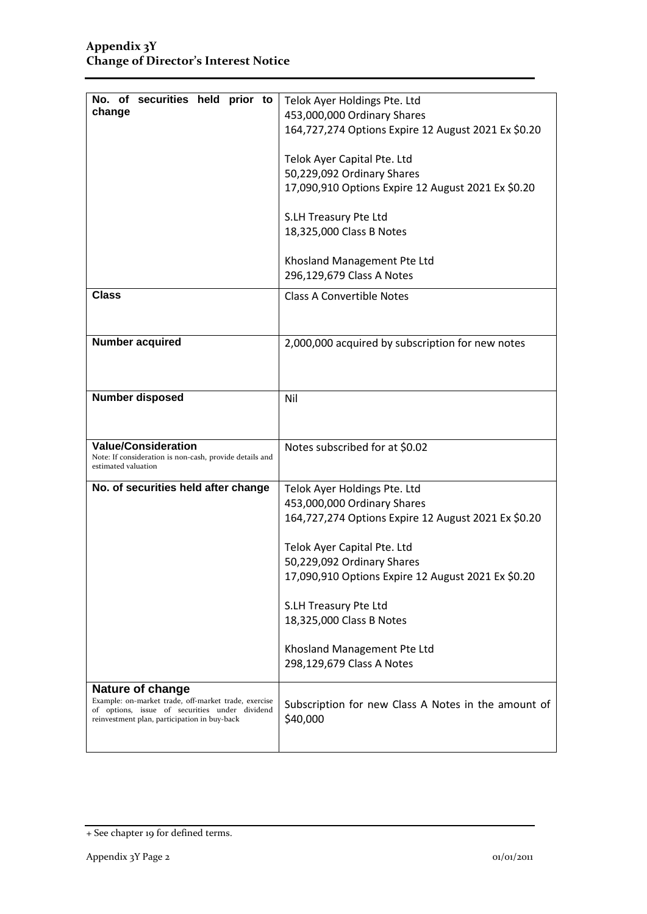| No. of securities held prior to                                                | Telok Ayer Holdings Pte. Ltd                              |
|--------------------------------------------------------------------------------|-----------------------------------------------------------|
| change                                                                         | 453,000,000 Ordinary Shares                               |
|                                                                                | 164,727,274 Options Expire 12 August 2021 Ex \$0.20       |
|                                                                                | Telok Ayer Capital Pte. Ltd                               |
|                                                                                | 50,229,092 Ordinary Shares                                |
|                                                                                | 17,090,910 Options Expire 12 August 2021 Ex \$0.20        |
|                                                                                |                                                           |
|                                                                                | S.LH Treasury Pte Ltd                                     |
|                                                                                | 18,325,000 Class B Notes                                  |
|                                                                                |                                                           |
|                                                                                | Khosland Management Pte Ltd                               |
|                                                                                | 296,129,679 Class A Notes                                 |
| <b>Class</b>                                                                   | <b>Class A Convertible Notes</b>                          |
|                                                                                |                                                           |
|                                                                                |                                                           |
| <b>Number acquired</b>                                                         | 2,000,000 acquired by subscription for new notes          |
|                                                                                |                                                           |
|                                                                                |                                                           |
| <b>Number disposed</b>                                                         | Nil                                                       |
|                                                                                |                                                           |
|                                                                                |                                                           |
| <b>Value/Consideration</b>                                                     | Notes subscribed for at \$0.02                            |
| Note: If consideration is non-cash, provide details and<br>estimated valuation |                                                           |
| No. of securities held after change                                            | Telok Ayer Holdings Pte. Ltd                              |
|                                                                                | 453,000,000 Ordinary Shares                               |
|                                                                                |                                                           |
|                                                                                |                                                           |
|                                                                                | 164,727,274 Options Expire 12 August 2021 Ex \$0.20       |
|                                                                                |                                                           |
|                                                                                | Telok Ayer Capital Pte. Ltd<br>50,229,092 Ordinary Shares |
|                                                                                | 17,090,910 Options Expire 12 August 2021 Ex \$0.20        |
|                                                                                |                                                           |
|                                                                                | S.LH Treasury Pte Ltd                                     |
|                                                                                | 18,325,000 Class B Notes                                  |
|                                                                                | Khosland Management Pte Ltd                               |
|                                                                                | 298,129,679 Class A Notes                                 |
|                                                                                |                                                           |
| Nature of change<br>Example: on-market trade, off-market trade, exercise       |                                                           |
| of options, issue of securities under dividend                                 | Subscription for new Class A Notes in the amount of       |
| reinvestment plan, participation in buy-back                                   | \$40,000                                                  |

<sup>+</sup> See chapter 19 for defined terms.